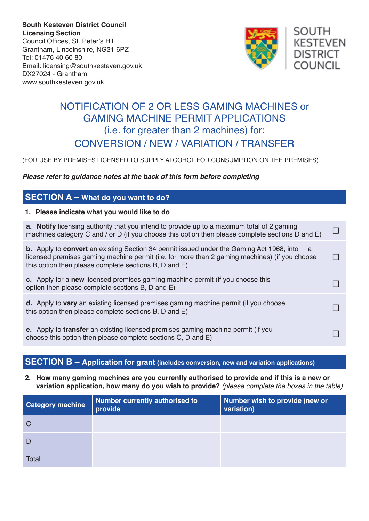**South Kesteven District Council Licensing Section** Council Offices, St. Peter's Hill Grantham, Lincolnshire, NG31 6PZ Tel: 01476 40 60 80 Email: licensing@southkesteven.gov.uk DX27024 - Grantham www.southkesteven.gov.uk



# NOTIFICATION OF 2 OR LESS GAMING MACHINES or GAMING MACHINE PERMIT APPLICATIONS (i.e. for greater than 2 machines) for: CONVERSION / NEW / VARIATION / TRANSFER

(FOR USE BY PREMISES LICENSED TO SUPPLY ALCOHOL FOR CONSUMPTION ON THE PREMISES)

#### *Please refer to guidance notes at the back of this form before completing*

### **SECTION A – What do you want to do?**

#### **1. Please indicate what you would like to do**

| <b>a.</b> Notify licensing authority that you intend to provide up to a maximum total of 2 gaming<br>machines category C and / or D (if you choose this option then please complete sections D and E)                                                              |  |
|--------------------------------------------------------------------------------------------------------------------------------------------------------------------------------------------------------------------------------------------------------------------|--|
| <b>b.</b> Apply to <b>convert</b> an existing Section 34 permit issued under the Gaming Act 1968, into a<br>licensed premises gaming machine permit (i.e. for more than 2 gaming machines) (if you choose<br>this option then please complete sections B, D and E) |  |
| c. Apply for a new licensed premises gaming machine permit (if you choose this<br>option then please complete sections B, D and E)                                                                                                                                 |  |
| d. Apply to vary an existing licensed premises gaming machine permit (if you choose<br>this option then please complete sections B, D and E)                                                                                                                       |  |
| e. Apply to transfer an existing licensed premises gaming machine permit (if you<br>choose this option then please complete sections C, D and E)                                                                                                                   |  |

### **SECTION B – Application for grant (includes conversion, new and variation applications)**

**2. How many gaming machines are you currently authorised to provide and if this is a new or variation application, how many do you wish to provide?** *(please complete the boxes in the table)*

| <b>Category machine</b> | Number currently authorised to<br>provide | Number wish to provide (new or<br>variation) |
|-------------------------|-------------------------------------------|----------------------------------------------|
| C                       |                                           |                                              |
|                         |                                           |                                              |
| <b>Total</b>            |                                           |                                              |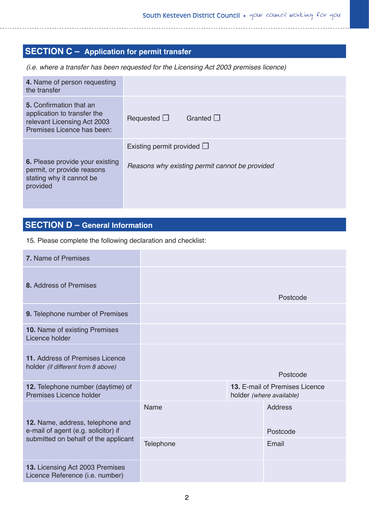## **SECTION C – Application for permit transfer**

*(i.e. where a transfer has been requested for the Licensing Act 2003 premises licence)*

| 4. Name of person requesting<br>the transfer                                                                               |                                                |
|----------------------------------------------------------------------------------------------------------------------------|------------------------------------------------|
| <b>5.</b> Confirmation that an<br>application to transfer the<br>relevant Licensing Act 2003<br>Premises Licence has been: | Granted $\Box$<br>Requested $\Box$             |
|                                                                                                                            | Existing permit provided $\Box$                |
| 6. Please provide your existing<br>permit, or provide reasons<br>stating why it cannot be<br>provided                      | Reasons why existing permit cannot be provided |

## **SECTION D – General Information**

15. Please complete the following declaration and checklist:

| 7. Name of Premises                                                     |                                                                   |  |                            |
|-------------------------------------------------------------------------|-------------------------------------------------------------------|--|----------------------------|
| 8. Address of Premises                                                  |                                                                   |  | Postcode                   |
| 9. Telephone number of Premises                                         |                                                                   |  |                            |
| 10. Name of existing Premises<br>Licence holder                         |                                                                   |  |                            |
| 11. Address of Premises Licence<br>holder (if different from 8 above)   |                                                                   |  | Postcode                   |
| 12. Telephone number (daytime) of<br>Premises Licence holder            | <b>13. E-mail of Premises Licence</b><br>holder (where available) |  |                            |
| 12. Name, address, telephone and<br>e-mail of agent (e.g. solicitor) if | Name                                                              |  | <b>Address</b><br>Postcode |
| submitted on behalf of the applicant                                    | <b>Telephone</b>                                                  |  | Email                      |
| 13. Licensing Act 2003 Premises<br>Licence Reference (i.e. number)      |                                                                   |  |                            |